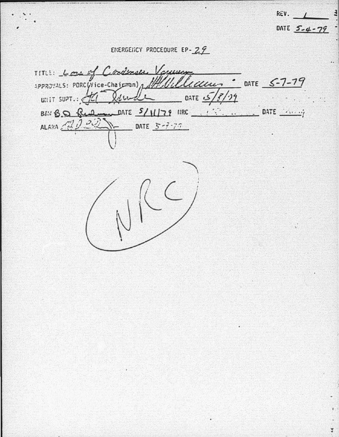EMERGEIICY PROCEDURE EP-29

RËV.

DATE 5-4-79

 $\overline{4}$ 

Ï

TITLE: Lough Croinsen Voyeuing SPPROVALS: PORCYVice-Chairman), MUULLeccu- - DATE 5-7-79 WHIT SUPT. HI Remove OATE 5/8/19 BAN BO Red DATE 5/11/79 MRC 15 ..... DATE Anny ALARA 2002 - DATE 5-7-70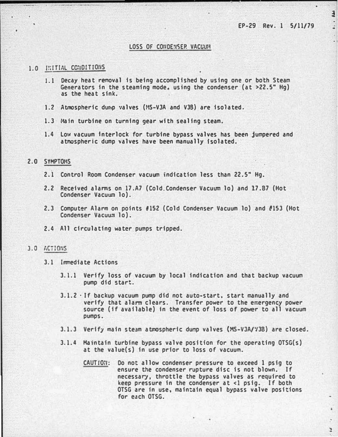$\overline{4}$ 

:

×

 $\mathbf{r}$ 

-

## LOSS OF CONDENSER VACUUM

## 1.0 INITIAL CONDITIONS

- 1.1 Decay heat removal is being accomplished by using one or both Steam Generators in the steaming mode, using the condenser (at  $>22.5$ " Hg) as the heat sink.
- 1.2 Atmospheric dump valves (MS-V3A and V3B) are isolated.
- 1.3 Main turbine on turning gear with sealing steam.
- 1.4 Low vacuum interlock for turbine bypass valves has been jumpered and atmospheric dump �alves have been manually isolated.

## 2.0 SYMPTOHS

- 2.1 Control Room Condenser vacuum indication less than 22.5" Hg.
- 2.2 Received alanms on 17.A7 (Cold.Condenser Vacuum lo) and 17.87 (Hot Condenser Vacuum lo).
- 2.3 Computer Alarm on points #152 (Cold Condenser Vacuum lo) and #153 (Hot Condenser Vacuum lo).
- 2.4 All circulating water pumps tripped.

## 3.0 ACTIONS

- 3.1 Immediate Actions
	- 3.1.1 Verify loss of vacuum by local indication and that backup vacuum pump did start.
	- 3.1.2 ·If backup vacuum pump did not auto-start. start manually and verify that alarm clears. Transfer power to the emergency power source (if available) In the event of loss of power to all vacuum pumps.
	- 3.1.3 Verify main steam atmospheric dump valves (MS-V3A/V3B) are closed.
	- 3.1.4 Maintain turbine bypass valve position for the operating OTSG(s) at the value(s) in use prior to loss of vacuum.
		- CAUTION: Do not allow condenser pressure to exceed 1 psig to ensure the condenser rupture disc is not blown. If necessary, throttle the bypass valves as required to keep pressure in the condenser at <1 psig. If both OTSG are in use, maintain equal bypass valve positions for each OTSG.